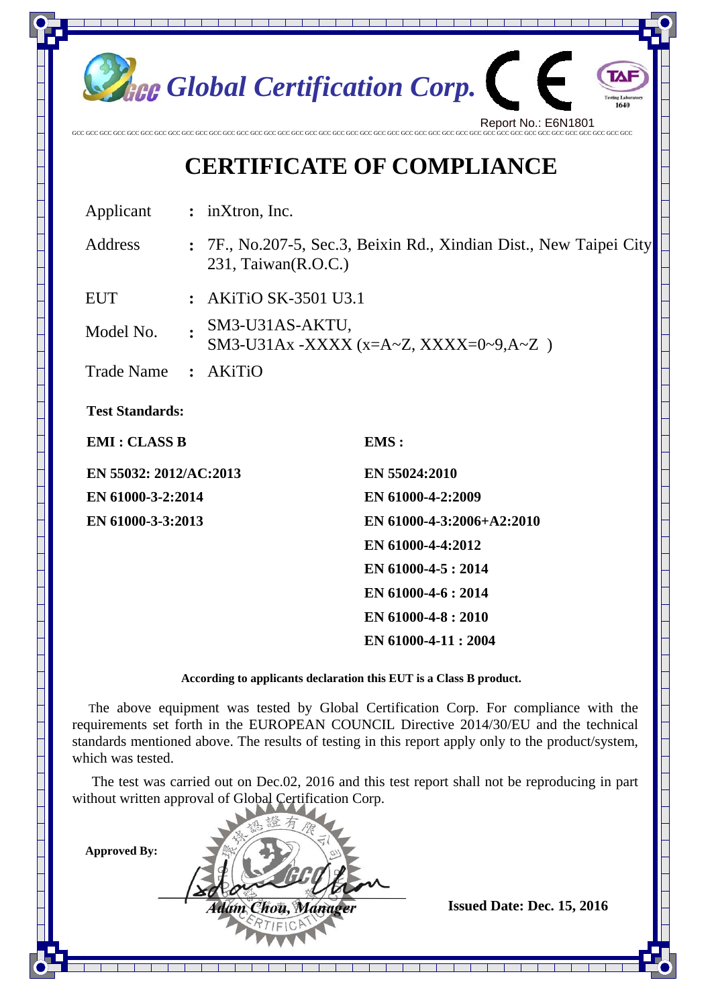

## **CERTIFICATE OF COMPLIANCE**

Applicant **:** inXtron, Inc.

Address **:** 7F., No.207-5, Sec.3, Beixin Rd., Xindian Dist., New Taipei City 231, Taiwan(R.O.C.)

EUT **:** AKiTiO SK-3501 U3.1

Model No. **:** SM3-U31AS-AKTU,

SM3-U31Ax -XXXX (x=A~Z, XXXX=0~9,A~Z )

Trade Name **:** AKiTiO

**Test Standards:** 

**EMI : CLASS B** EMS :

**EN 55032: 2012/AC:2013 EN 55024:2010 EN 61000-3-2:2014 EN 61000-4-2:2009** 

**EN 61000-3-3:2013 EN 61000-4-3:2006+A2:2010 EN 61000-4-4:2012 EN 61000-4-5 : 2014 EN 61000-4-6 : 2014 EN 61000-4-8 : 2010 EN 61000-4-11 : 2004** 

**According to applicants declaration this EUT is a Class B product.** 

The above equipment was tested by Global Certification Corp. For compliance with the requirements set forth in the EUROPEAN COUNCIL Directive 2014/30/EU and the technical standards mentioned above. The results of testing in this report apply only to the product/system, which was tested.

The test was carried out on Dec.02, 2016 and this test report shall not be reproducing in part without written approval of Global Certification Corp.

**Approved By:** 

*If**If**<b>If <i>Issued Date: Dec. 15, 2016 If the Chourse If <i>If the Limita*ry *Issued Date: Dec. 15, 2016*